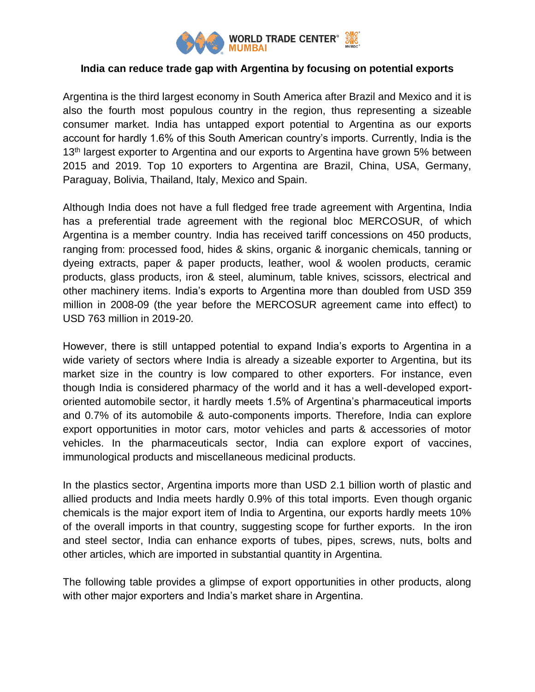

## **India can reduce trade gap with Argentina by focusing on potential exports**

Argentina is the third largest economy in South America after Brazil and Mexico and it is also the fourth most populous country in the region, thus representing a sizeable consumer market. India has untapped export potential to Argentina as our exports account for hardly 1.6% of this South American country's imports. Currently, India is the 13<sup>th</sup> largest exporter to Argentina and our exports to Argentina have grown 5% between 2015 and 2019. Top 10 exporters to Argentina are Brazil, China, USA, Germany, Paraguay, Bolivia, Thailand, Italy, Mexico and Spain.

Although India does not have a full fledged free trade agreement with Argentina, India has a preferential trade agreement with the regional bloc MERCOSUR, of which Argentina is a member country. India has received tariff concessions on 450 products, ranging from: processed food, hides & skins, organic & inorganic chemicals, tanning or dyeing extracts, paper & paper products, leather, wool & woolen products, ceramic products, glass products, iron & steel, aluminum, table knives, scissors, electrical and other machinery items. India's exports to Argentina more than doubled from USD 359 million in 2008-09 (the year before the MERCOSUR agreement came into effect) to USD 763 million in 2019-20.

However, there is still untapped potential to expand India's exports to Argentina in a wide variety of sectors where India is already a sizeable exporter to Argentina, but its market size in the country is low compared to other exporters. For instance, even though India is considered pharmacy of the world and it has a well-developed exportoriented automobile sector, it hardly meets 1.5% of Argentina's pharmaceutical imports and 0.7% of its automobile & auto-components imports. Therefore, India can explore export opportunities in motor cars, motor vehicles and parts & accessories of motor vehicles. In the pharmaceuticals sector, India can explore export of vaccines, immunological products and miscellaneous medicinal products.

In the plastics sector, Argentina imports more than USD 2.1 billion worth of plastic and allied products and India meets hardly 0.9% of this total imports. Even though organic chemicals is the major export item of India to Argentina, our exports hardly meets 10% of the overall imports in that country, suggesting scope for further exports. In the iron and steel sector, India can enhance exports of tubes, pipes, screws, nuts, bolts and other articles, which are imported in substantial quantity in Argentina.

The following table provides a glimpse of export opportunities in other products, along with other major exporters and India's market share in Argentina.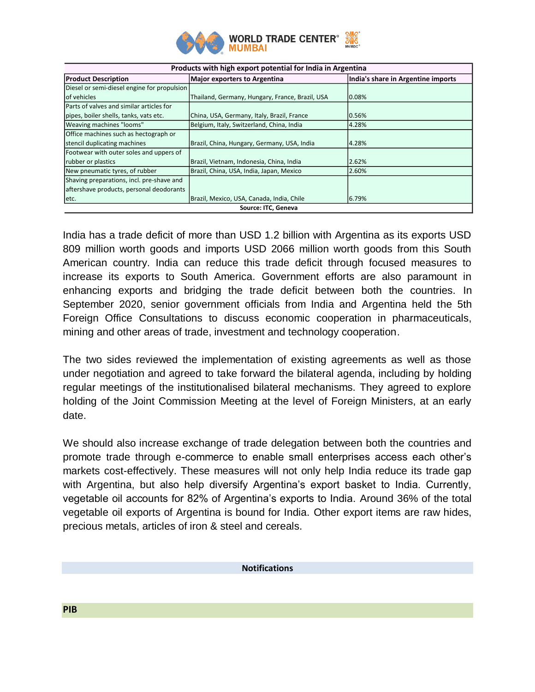

| Products with high export potential for India in Argentina |                                                 |                                    |
|------------------------------------------------------------|-------------------------------------------------|------------------------------------|
| <b>Product Description</b>                                 | Major exporters to Argentina                    | India's share in Argentine imports |
| Diesel or semi-diesel engine for propulsion                |                                                 |                                    |
| of vehicles                                                | Thailand, Germany, Hungary, France, Brazil, USA | 0.08%                              |
| Parts of valves and similar articles for                   |                                                 |                                    |
| pipes, boiler shells, tanks, vats etc.                     | China, USA, Germany, Italy, Brazil, France      | 0.56%                              |
| Weaving machines "looms"                                   | Belgium, Italy, Switzerland, China, India       | 4.28%                              |
| Office machines such as hectograph or                      |                                                 |                                    |
| stencil duplicating machines                               | Brazil, China, Hungary, Germany, USA, India     | 4.28%                              |
| Footwear with outer soles and uppers of                    |                                                 |                                    |
| rubber or plastics                                         | Brazil, Vietnam, Indonesia, China, India        | 2.62%                              |
| New pneumatic tyres, of rubber                             | Brazil, China, USA, India, Japan, Mexico        | 2.60%                              |
| Shaving preparations, incl. pre-shave and                  |                                                 |                                    |
| aftershave products, personal deodorants                   |                                                 |                                    |
| etc.                                                       | Brazil, Mexico, USA, Canada, India, Chile       | 6.79%                              |
| Source: ITC, Geneva                                        |                                                 |                                    |

India has a trade deficit of more than USD 1.2 billion with Argentina as its exports USD 809 million worth goods and imports USD 2066 million worth goods from this South American country. India can reduce this trade deficit through focused measures to increase its exports to South America. Government efforts are also paramount in enhancing exports and bridging the trade deficit between both the countries. In September 2020, senior government officials from India and Argentina held the 5th Foreign Office Consultations to discuss economic cooperation in pharmaceuticals, mining and other areas of trade, investment and technology cooperation.

The two sides reviewed the implementation of existing agreements as well as those under negotiation and agreed to take forward the bilateral agenda, including by holding regular meetings of the institutionalised bilateral mechanisms. They agreed to explore holding of the Joint Commission Meeting at the level of Foreign Ministers, at an early date.

We should also increase exchange of trade delegation between both the countries and promote trade through e-commerce to enable small enterprises access each other's markets cost-effectively. These measures will not only help India reduce its trade gap with Argentina, but also help diversify Argentina's export basket to India. Currently, vegetable oil accounts for 82% of Argentina's exports to India. Around 36% of the total vegetable oil exports of Argentina is bound for India. Other export items are raw hides, precious metals, articles of iron & steel and cereals.

**Notifications**